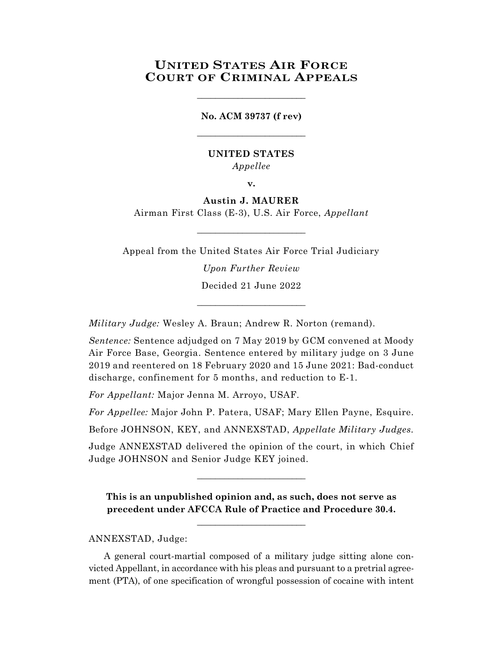# **UNITED STATES AIR FORCE COURT OF CRIMINAL APPEALS**

**No. ACM 39737 (f rev)** \_\_\_\_\_\_\_\_\_\_\_\_\_\_\_\_\_\_\_\_\_\_\_\_

\_\_\_\_\_\_\_\_\_\_\_\_\_\_\_\_\_\_\_\_\_\_\_\_

# **UNITED STATES** *Appellee*

**v.**

# **Austin J. MAURER**

Airman First Class (E-3), U.S. Air Force, *Appellant*  $\_$ 

Appeal from the United States Air Force Trial Judiciary *Upon Further Review* Decided 21 June 2022

\_\_\_\_\_\_\_\_\_\_\_\_\_\_\_\_\_\_\_\_\_\_\_\_

*Military Judge:* Wesley A. Braun; Andrew R. Norton (remand).

*Sentence:* Sentence adjudged on 7 May 2019 by GCM convened at Moody Air Force Base, Georgia. Sentence entered by military judge on 3 June 2019 and reentered on 18 February 2020 and 15 June 2021: Bad-conduct discharge, confinement for 5 months, and reduction to E-1.

*For Appellant:* Major Jenna M. Arroyo, USAF.

*For Appellee:* Major John P. Patera, USAF; Mary Ellen Payne, Esquire.

Before JOHNSON, KEY, and ANNEXSTAD, *Appellate Military Judges.*

Judge ANNEXSTAD delivered the opinion of the court, in which Chief Judge JOHNSON and Senior Judge KEY joined.

\_\_\_\_\_\_\_\_\_\_\_\_\_\_\_\_\_\_\_\_\_\_\_\_

**This is an unpublished opinion and, as such, does not serve as precedent under AFCCA Rule of Practice and Procedure 30.4.**

**\_\_\_\_\_\_\_\_\_\_\_\_\_\_\_\_\_\_\_\_\_\_\_\_**

ANNEXSTAD, Judge:

 A general court-martial composed of a military judge sitting alone convicted Appellant, in accordance with his pleas and pursuant to a pretrial agreement (PTA), of one specification of wrongful possession of cocaine with intent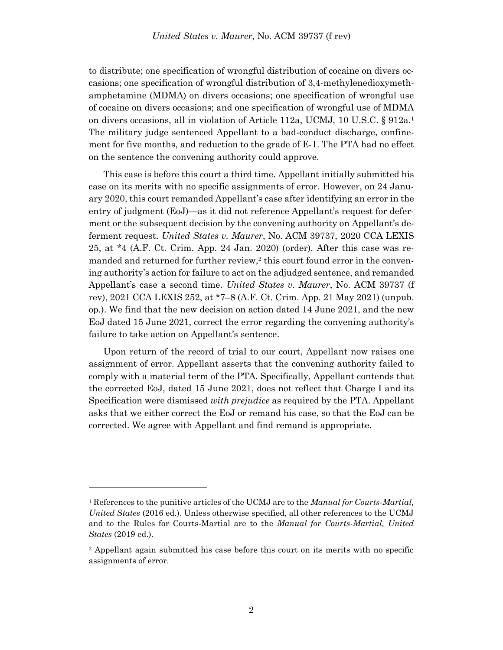to distribute; one specification of wrongful distribution of cocaine on divers occasions; one specification of wrongful distribution of 3,4-methylenedioxymethamphetamine (MDMA) on divers occasions; one specification of wrongful use of cocaine on divers occasions; and one specification of wrongful use of MDMA on divers occasions, all in violation of Article 112a, UCMJ, 10 U.S.C. § 912a. 1 The military judge sentenced Appellant to a bad-conduct discharge, confinement for five months, and reduction to the grade of E-1. The PTA had no effect on the sentence the convening authority could approve.

This case is before this court a third time. Appellant initially submitted his case on its merits with no specific assignments of error. However, on 24 January 2020, this court remanded Appellant's case after identifying an error in the entry of judgment (EoJ)—as it did not reference Appellant's request for deferment or the subsequent decision by the convening authority on Appellant's deferment request. *United States v. Maurer*, No. ACM 39737, 2020 CCA LEXIS 25, at \*4 (A.F. Ct. Crim. App. 24 Jan. 2020) (order). After this case was remanded and returned for further review,<sup>2</sup> this court found error in the convening authority's action for failure to act on the adjudged sentence, and remanded Appellant's case a second time. *United States v. Maurer*, No. ACM 39737 (f rev), 2021 CCA LEXIS 252, at \*7–8 (A.F. Ct. Crim. App. 21 May 2021) (unpub. op.). We find that the new decision on action dated 14 June 2021, and the new EoJ dated 15 June 2021, correct the error regarding the convening authority's failure to take action on Appellant's sentence.

Upon return of the record of trial to our court, Appellant now raises one assignment of error. Appellant asserts that the convening authority failed to comply with a material term of the PTA. Specifically, Appellant contends that the corrected EoJ, dated 15 June 2021, does not reflect that Charge I and its Specification were dismissed *with prejudice* as required by the PTA. Appellant asks that we either correct the EoJ or remand his case, so that the EoJ can be corrected. We agree with Appellant and find remand is appropriate.

l

<sup>1</sup> References to the punitive articles of the UCMJ are to the *Manual for Courts-Martial, United States* (2016 ed.). Unless otherwise specified, all other references to the UCMJ and to the Rules for Courts-Martial are to the *Manual for Courts-Martial, United States* (2019 ed.).

<sup>2</sup> Appellant again submitted his case before this court on its merits with no specific assignments of error.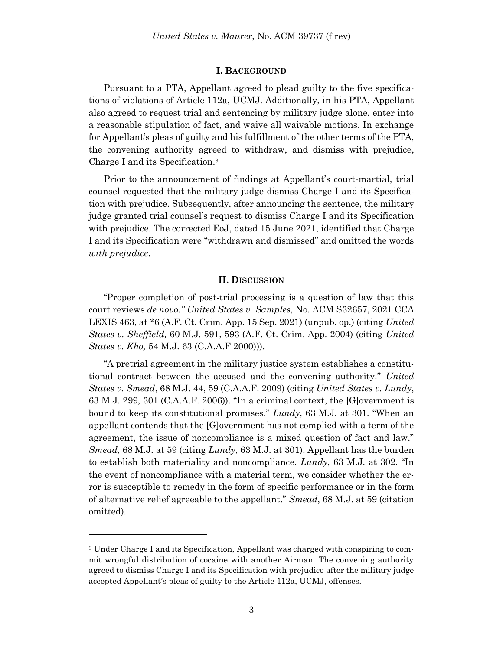#### **I. BACKGROUND**

 Pursuant to a PTA, Appellant agreed to plead guilty to the five specifications of violations of Article 112a, UCMJ. Additionally, in his PTA, Appellant also agreed to request trial and sentencing by military judge alone, enter into a reasonable stipulation of fact, and waive all waivable motions. In exchange for Appellant's pleas of guilty and his fulfillment of the other terms of the PTA, the convening authority agreed to withdraw, and dismiss with prejudice, Charge I and its Specification.<sup>3</sup>

 Prior to the announcement of findings at Appellant's court-martial, trial counsel requested that the military judge dismiss Charge I and its Specification with prejudice. Subsequently, after announcing the sentence, the military judge granted trial counsel's request to dismiss Charge I and its Specification with prejudice. The corrected EoJ, dated 15 June 2021, identified that Charge I and its Specification were "withdrawn and dismissed" and omitted the words *with prejudice*.

### **II. DISCUSSION**

"Proper completion of post-trial processing is a question of law that this court reviews *de novo." United States v. Samples,* No. ACM S32657, 2021 CCA LEXIS 463, at \*6 (A.F. Ct. Crim. App. 15 Sep. 2021) (unpub. op.) (citing *United States v. Sheffield,* 60 M.J. 591, 593 (A.F. Ct. Crim. App. 2004) (citing *United States v. Kho,* 54 M.J. 63 (C.A.A.F 2000))).

"A pretrial agreement in the military justice system establishes a constitutional contract between the accused and the convening authority." *United States v. Smead*, 68 M.J. 44, 59 (C.A.A.F. 2009) (citing *United States v. Lundy*, 63 M.J. 299, 301 (C.A.A.F. 2006)). "In a criminal context, the [G]overnment is bound to keep its constitutional promises." *Lundy*, 63 M.J. at 301. "When an appellant contends that the [G]overnment has not complied with a term of the agreement, the issue of noncompliance is a mixed question of fact and law." *Smead*, 68 M.J. at 59 (citing *Lundy*, 63 M.J. at 301). Appellant has the burden to establish both materiality and noncompliance. *Lundy*, 63 M.J. at 302. "In the event of noncompliance with a material term, we consider whether the error is susceptible to remedy in the form of specific performance or in the form of alternative relief agreeable to the appellant." *Smead*, 68 M.J. at 59 (citation omitted).

l

<sup>3</sup> Under Charge I and its Specification, Appellant was charged with conspiring to commit wrongful distribution of cocaine with another Airman. The convening authority agreed to dismiss Charge I and its Specification with prejudice after the military judge accepted Appellant's pleas of guilty to the Article 112a, UCMJ, offenses.